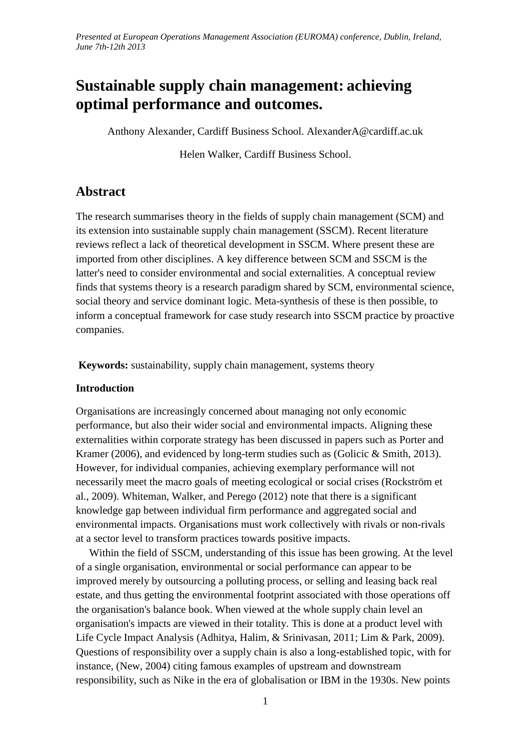# **Sustainable supply chain management: achieving optimal performance and outcomes.**

Anthony Alexander, Cardiff Business School. AlexanderA@cardiff.ac.uk

Helen Walker, Cardiff Business School.

# **Abstract**

The research summarises theory in the fields of supply chain management (SCM) and its extension into sustainable supply chain management (SSCM). Recent literature reviews reflect a lack of theoretical development in SSCM. Where present these are imported from other disciplines. A key difference between SCM and SSCM is the latter's need to consider environmental and social externalities. A conceptual review finds that systems theory is a research paradigm shared by SCM, environmental science, social theory and service dominant logic. Meta-synthesis of these is then possible, to inform a conceptual framework for case study research into SSCM practice by proactive companies.

**Keywords:** sustainability, supply chain management, systems theory

### **Introduction**

Organisations are increasingly concerned about managing not only economic performance, but also their wider social and environmental impacts. Aligning these externalities within corporate strategy has been discussed in papers such as [Porter and](#page-8-0)  [Kramer \(2006\)](#page-8-0), and evidenced by long-term studies such as [\(Golicic & Smith, 2013\)](#page-7-0). However, for individual companies, achieving exemplary performance will not necessarily meet the macro goals of meeting ecological or social crises [\(Rockström et](#page-8-1)  [al., 2009\)](#page-8-1). [Whiteman, Walker, and Perego \(2012\)](#page-9-0) note that there is a significant knowledge gap between individual firm performance and aggregated social and environmental impacts. Organisations must work collectively with rivals or non-rivals at a sector level to transform practices towards positive impacts.

 Within the field of SSCM, understanding of this issue has been growing. At the level of a single organisation, environmental or social performance can appear to be improved merely by outsourcing a polluting process, or selling and leasing back real estate, and thus getting the environmental footprint associated with those operations off the organisation's balance book. When viewed at the whole supply chain level an organisation's impacts are viewed in their totality. This is done at a product level with Life Cycle Impact Analysis [\(Adhitya, Halim, & Srinivasan, 2011;](#page-6-0) [Lim & Park, 2009\)](#page-7-1). Questions of responsibility over a supply chain is also a long-established topic, with for instance, [\(New, 2004\)](#page-8-2) citing famous examples of upstream and downstream responsibility, such as Nike in the era of globalisation or IBM in the 1930s. New points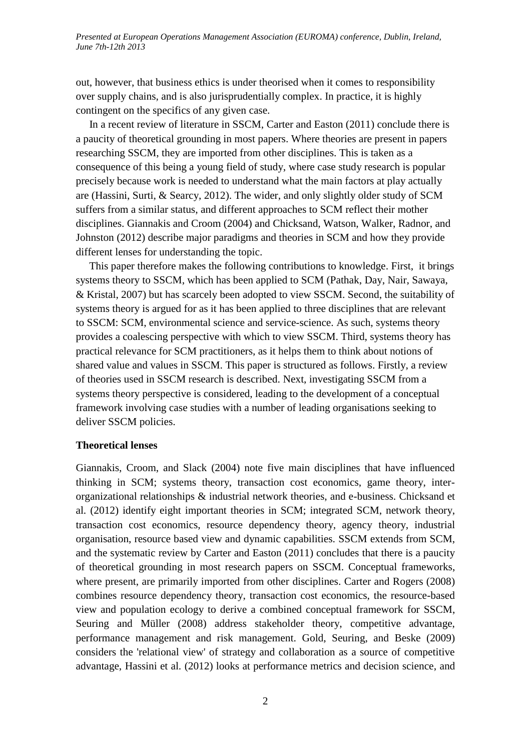out, however, that business ethics is under theorised when it comes to responsibility over supply chains, and is also jurisprudentially complex. In practice, it is highly contingent on the specifics of any given case.

 In a recent review of literature in SSCM, [Carter and Easton \(2011\)](#page-6-1) conclude there is a paucity of theoretical grounding in most papers. Where theories are present in papers researching SSCM, they are imported from other disciplines. This is taken as a consequence of this being a young field of study, where case study research is popular precisely because work is needed to understand what the main factors at play actually are [\(Hassini, Surti, & Searcy, 2012\)](#page-7-2). The wider, and only slightly older study of SCM suffers from a similar status, and different approaches to SCM reflect their mother disciplines. [Giannakis and Croom \(2004\)](#page-7-3) and [Chicksand, Watson, Walker, Radnor, and](#page-6-2)  [Johnston \(2012\)](#page-6-2) describe major paradigms and theories in SCM and how they provide different lenses for understanding the topic.

 This paper therefore makes the following contributions to knowledge. First, it brings systems theory to SSCM, which has been applied to SCM [\(Pathak, Day, Nair, Sawaya,](#page-8-3)  [& Kristal, 2007\)](#page-8-3) but has scarcely been adopted to view SSCM. Second, the suitability of systems theory is argued for as it has been applied to three disciplines that are relevant to SSCM: SCM, environmental science and service-science. As such, systems theory provides a coalescing perspective with which to view SSCM. Third, systems theory has practical relevance for SCM practitioners, as it helps them to think about notions of shared value and values in SSCM. This paper is structured as follows. Firstly, a review of theories used in SSCM research is described. Next, investigating SSCM from a systems theory perspective is considered, leading to the development of a conceptual framework involving case studies with a number of leading organisations seeking to deliver SSCM policies.

### **Theoretical lenses**

[Giannakis, Croom, and Slack \(2004\)](#page-7-4) note five main disciplines that have influenced thinking in SCM; systems theory, transaction cost economics, game theory, interorganizational relationships & industrial network theories, and e-business. [Chicksand et](#page-6-2)  [al. \(2012\)](#page-6-2) identify eight important theories in SCM; integrated SCM, network theory, transaction cost economics, resource dependency theory, agency theory, industrial organisation, resource based view and dynamic capabilities. SSCM extends from SCM, and the systematic review by [Carter and Easton \(2011\)](#page-6-1) concludes that there is a paucity of theoretical grounding in most research papers on SSCM. Conceptual frameworks, where present, are primarily imported from other disciplines. [Carter and Rogers \(2008\)](#page-6-3) combines resource dependency theory, transaction cost economics, the resource-based view and population ecology to derive a combined conceptual framework for SSCM, [Seuring and Müller \(2008\)](#page-8-4) address stakeholder theory, competitive advantage, performance management and risk management. [Gold, Seuring, and Beske \(2009\)](#page-7-5) considers the 'relational view' of strategy and collaboration as a source of competitive advantage, [Hassini et al. \(2012\)](#page-7-2) looks at performance metrics and decision science, and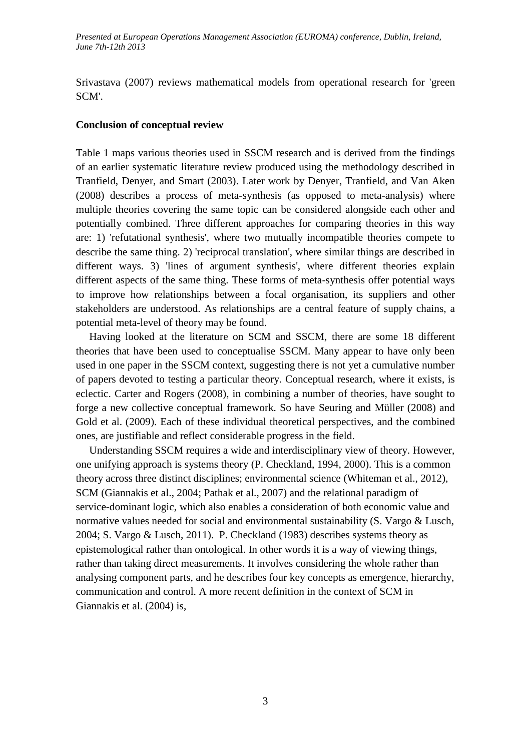[Srivastava \(2007\)](#page-9-1) reviews mathematical models from operational research for 'green SCM'.

#### **Conclusion of conceptual review**

Table 1 maps various theories used in SSCM research and is derived from the findings of an earlier systematic literature review produced using the methodology described in [Tranfield, Denyer, and Smart \(2003\)](#page-9-2). Later work by [Denyer, Tranfield, and Van Aken](#page-7-6)  [\(2008\)](#page-7-6) describes a process of meta-synthesis (as opposed to meta-analysis) where multiple theories covering the same topic can be considered alongside each other and potentially combined. Three different approaches for comparing theories in this way are: 1) 'refutational synthesis', where two mutually incompatible theories compete to describe the same thing. 2) 'reciprocal translation', where similar things are described in different ways. 3) 'lines of argument synthesis', where different theories explain different aspects of the same thing. These forms of meta-synthesis offer potential ways to improve how relationships between a focal organisation, its suppliers and other stakeholders are understood. As relationships are a central feature of supply chains, a potential meta-level of theory may be found.

 Having looked at the literature on SCM and SSCM, there are some 18 different theories that have been used to conceptualise SSCM. Many appear to have only been used in one paper in the SSCM context, suggesting there is not yet a cumulative number of papers devoted to testing a particular theory. Conceptual research, where it exists, is eclectic. [Carter and Rogers \(2008\)](#page-6-3), in combining a number of theories, have sought to forge a new collective conceptual framework. So have [Seuring and Müller \(2008\)](#page-8-4) and [Gold et al. \(2009\)](#page-7-5). Each of these individual theoretical perspectives, and the combined ones, are justifiable and reflect considerable progress in the field.

 Understanding SSCM requires a wide and interdisciplinary view of theory. However, one unifying approach is systems theory [\(P. Checkland, 1994,](#page-6-4) [2000\)](#page-6-5). This is a common theory across three distinct disciplines; environmental science [\(Whiteman et al., 2012\)](#page-9-0), SCM [\(Giannakis et al., 2004;](#page-7-4) [Pathak et al., 2007\)](#page-8-3) and the relational paradigm of service-dominant logic, which also enables a consideration of both economic value and normative values needed for social and environmental sustainability [\(S. Vargo & Lusch,](#page-9-3)  [2004;](#page-9-3) [S. Vargo & Lusch, 2011\)](#page-9-4). [P. Checkland \(1983\)](#page-6-6) describes systems theory as epistemological rather than ontological. In other words it is a way of viewing things, rather than taking direct measurements. It involves considering the whole rather than analysing component parts, and he describes four key concepts as emergence, hierarchy, communication and control. A more recent definition in the context of SCM in [Giannakis et al. \(2004\)](#page-7-4) is,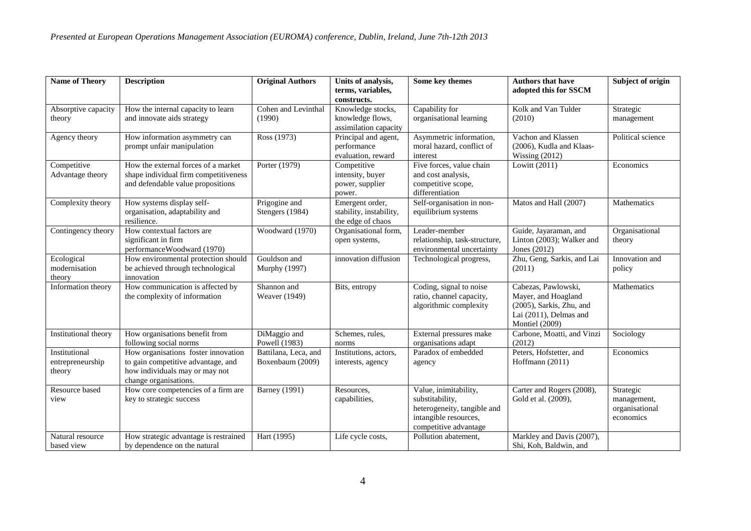| <b>Name of Theory</b>                       | <b>Description</b>                                                                                                                   | <b>Original Authors</b>                  | Units of analysis,<br>terms, variables,<br>constructs.          | Some key themes                                                                                                           | <b>Authors that have</b><br>adopted this for SSCM                                                                         | Subject of origin                                       |
|---------------------------------------------|--------------------------------------------------------------------------------------------------------------------------------------|------------------------------------------|-----------------------------------------------------------------|---------------------------------------------------------------------------------------------------------------------------|---------------------------------------------------------------------------------------------------------------------------|---------------------------------------------------------|
| Absorptive capacity<br>theory               | How the internal capacity to learn<br>and innovate aids strategy                                                                     | Cohen and Levinthal<br>(1990)            | Knowledge stocks,<br>knowledge flows,<br>assimilation capacity  | Capability for<br>organisational learning                                                                                 | Kolk and Van Tulder<br>(2010)                                                                                             | Strategic<br>management                                 |
| Agency theory                               | How information asymmetry can<br>prompt unfair manipulation                                                                          | Ross(1973)                               | Principal and agent,<br>performance<br>evaluation, reward       | Asymmetric information,<br>moral hazard, conflict of<br>interest                                                          | Vachon and Klassen<br>(2006), Kudla and Klaas-<br>Wissing $(2012)$                                                        | Political science                                       |
| Competitive<br>Advantage theory             | How the external forces of a market<br>shape individual firm competitiveness<br>and defendable value propositions                    | Porter (1979)                            | Competitive<br>intensity, buyer<br>power, supplier<br>power.    | Five forces, value chain<br>and cost analysis,<br>competitive scope,<br>differentiation                                   | Lowitt (2011)                                                                                                             | Economics                                               |
| Complexity theory                           | How systems display self-<br>organisation, adaptability and<br>resilience.                                                           | Prigogine and<br>Stengers (1984)         | Emergent order,<br>stability, instability,<br>the edge of chaos | Self-organisation in non-<br>equilibrium systems                                                                          | Matos and Hall (2007)                                                                                                     | Mathematics                                             |
| Contingency theory                          | How contextual factors are<br>significant in firm<br>performanceWoodward (1970)                                                      | Woodward (1970)                          | Organisational form,<br>open systems,                           | Leader-member<br>relationship, task-structure,<br>environmental uncertainty                                               | Guide, Jayaraman, and<br>Linton (2003); Walker and<br>Jones $(2012)$                                                      | Organisational<br>theory                                |
| Ecological<br>modernisation<br>theory       | How environmental protection should<br>be achieved through technological<br>innovation                                               | Gouldson and<br><b>Murphy</b> (1997)     | innovation diffusion                                            | Technological progress,                                                                                                   | Zhu, Geng, Sarkis, and Lai<br>(2011)                                                                                      | Innovation and<br>policy                                |
| Information theory                          | How communication is affected by<br>the complexity of information                                                                    | Shannon and<br>Weaver (1949)             | Bits, entropy                                                   | Coding, signal to noise<br>ratio, channel capacity,<br>algorithmic complexity                                             | Cabezas, Pawlowski,<br>Mayer, and Hoagland<br>(2005), Sarkis, Zhu, and<br>Lai (2011), Delmas and<br><b>Montiel</b> (2009) | Mathematics                                             |
| Institutional theory                        | How organisations benefit from<br>following social norms                                                                             | DiMaggio and<br>Powell (1983)            | Schemes, rules,<br>norms                                        | External pressures make<br>organisations adapt                                                                            | Carbone, Moatti, and Vinzi<br>(2012)                                                                                      | Sociology                                               |
| Institutional<br>entrepreneurship<br>theory | How organisations foster innovation<br>to gain competitive advantage, and<br>how individuals may or may not<br>change organisations. | Battilana, Leca, and<br>Boxenbaum (2009) | Institutions, actors,<br>interests, agency                      | Paradox of embedded<br>agency                                                                                             | Peters, Hofstetter, and<br>Hoffmann (2011)                                                                                | Economics                                               |
| Resource based<br>view                      | How core competencies of a firm are<br>key to strategic success                                                                      | <b>Barney</b> (1991)                     | Resources,<br>capabilities,                                     | Value, inimitability,<br>substitability,<br>heterogeneity, tangible and<br>intangible resources,<br>competitive advantage | Carter and Rogers (2008),<br>Gold et al. (2009),                                                                          | Strategic<br>management,<br>organisational<br>economics |
| Natural resource<br>based view              | How strategic advantage is restrained<br>by dependence on the natural                                                                | Hart (1995)                              | Life cycle costs,                                               | Pollution abatement,                                                                                                      | Markley and Davis (2007),<br>Shi, Koh, Baldwin, and                                                                       |                                                         |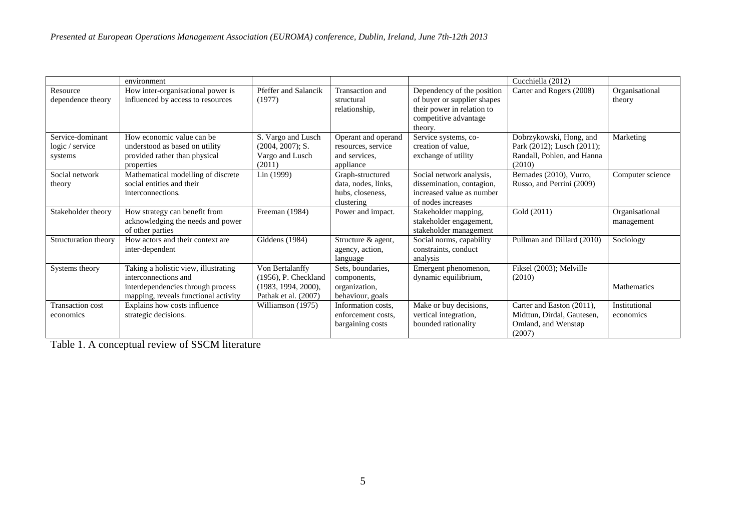|                                                | environment                                                                                                                               |                                                                                           |                                                                           |                                                                                                                             | Cucchiella (2012)                                                                             |                              |
|------------------------------------------------|-------------------------------------------------------------------------------------------------------------------------------------------|-------------------------------------------------------------------------------------------|---------------------------------------------------------------------------|-----------------------------------------------------------------------------------------------------------------------------|-----------------------------------------------------------------------------------------------|------------------------------|
| Resource<br>dependence theory                  | How inter-organisational power is<br>influenced by access to resources                                                                    | Pfeffer and Salancik<br>(1977)                                                            | Transaction and<br>structural<br>relationship,                            | Dependency of the position<br>of buyer or supplier shapes<br>their power in relation to<br>competitive advantage<br>theory. | Carter and Rogers (2008)                                                                      | Organisational<br>theory     |
| Service-dominant<br>logic / service<br>systems | How economic value can be<br>understood as based on utility<br>provided rather than physical<br>properties                                | S. Vargo and Lusch<br>(2004, 2007); S.<br>Vargo and Lusch<br>(2011)                       | Operant and operand<br>resources, service<br>and services.<br>appliance   | Service systems, co-<br>creation of value.<br>exchange of utility                                                           | Dobrzykowski, Hong, and<br>Park (2012); Lusch (2011);<br>Randall, Pohlen, and Hanna<br>(2010) | Marketing                    |
| Social network<br>theory                       | Mathematical modelling of discrete<br>social entities and their<br>interconnections.                                                      | Lin(1999)                                                                                 | Graph-structured<br>data, nodes, links,<br>hubs, closeness,<br>clustering | Social network analysis,<br>dissemination, contagion,<br>increased value as number<br>of nodes increases                    | Bernades (2010), Vurro,<br>Russo, and Perrini (2009)                                          | Computer science             |
| Stakeholder theory                             | How strategy can benefit from<br>acknowledging the needs and power<br>of other parties                                                    | Freeman (1984)                                                                            | Power and impact.                                                         | Stakeholder mapping,<br>stakeholder engagement,<br>stakeholder management                                                   | Gold (2011)                                                                                   | Organisational<br>management |
| Structuration theory                           | How actors and their context are<br>inter-dependent                                                                                       | Giddens (1984)                                                                            | Structure & agent,<br>agency, action,<br>language                         | Social norms, capability<br>constraints, conduct<br>analysis                                                                | Pullman and Dillard (2010)                                                                    | Sociology                    |
| Systems theory                                 | Taking a holistic view, illustrating<br>interconnections and<br>interdependencies through process<br>mapping, reveals functional activity | Von Bertalanffy<br>$(1956)$ , P. Checkland<br>(1983, 1994, 2000),<br>Pathak et al. (2007) | Sets, boundaries,<br>components,<br>organization.<br>behaviour, goals     | Emergent phenomenon,<br>dynamic equilibrium,                                                                                | Fiksel (2003); Melville<br>(2010)                                                             | <b>Mathematics</b>           |
| Transaction cost<br>economics                  | Explains how costs influence<br>strategic decisions.                                                                                      | Williamson (1975)                                                                         | Information costs,<br>enforcement costs.<br>bargaining costs              | Make or buy decisions,<br>vertical integration,<br>bounded rationality                                                      | Carter and Easton (2011),<br>Midttun, Dirdal, Gautesen,<br>Omland, and Wenstøp<br>(2007)      | Institutional<br>economics   |

Table 1. A conceptual review of SSCM literature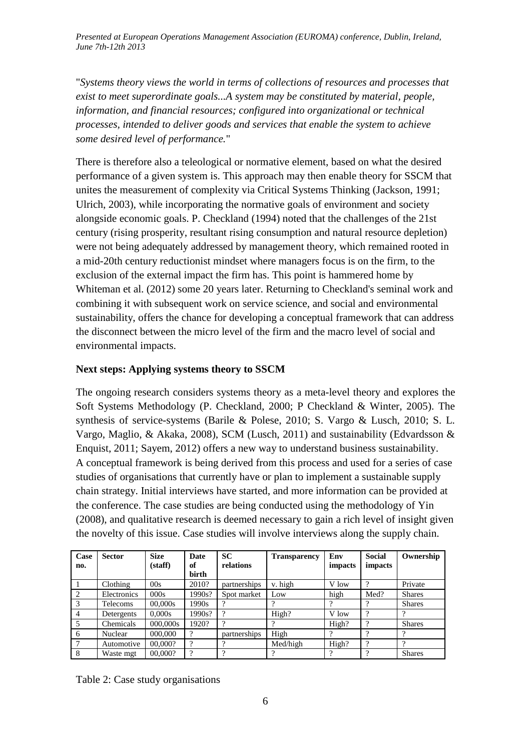"*Systems theory views the world in terms of collections of resources and processes that exist to meet superordinate goals...A system may be constituted by material, people, information, and financial resources; configured into organizational or technical processes, intended to deliver goods and services that enable the system to achieve some desired level of performance.*"

There is therefore also a teleological or normative element, based on what the desired performance of a given system is. This approach may then enable theory for SSCM that unites the measurement of complexity via Critical Systems Thinking [\(Jackson, 1991;](#page-7-23) [Ulrich, 2003\)](#page-9-15), while incorporating the normative goals of environment and society alongside economic goals. [P. Checkland \(1994\)](#page-6-4) noted that the challenges of the 21st century (rising prosperity, resultant rising consumption and natural resource depletion) were not being adequately addressed by management theory, which remained rooted in a mid-20th century reductionist mindset where managers focus is on the firm, to the exclusion of the external impact the firm has. This point is hammered home by [Whiteman et al. \(2012\)](#page-9-0) some 20 years later. Returning to Checkland's seminal work and combining it with subsequent work on service science, and social and environmental sustainability, offers the chance for developing a conceptual framework that can address the disconnect between the micro level of the firm and the macro level of social and environmental impacts.

## **Next steps: Applying systems theory to SSCM**

The ongoing research considers systems theory as a meta-level theory and explores the Soft Systems Methodology [\(P. Checkland, 2000;](#page-6-5) [P Checkland & Winter, 2005\)](#page-6-18). The synthesis of service-systems [\(Barile & Polese, 2010;](#page-6-19) [S. Vargo & Lusch, 2010;](#page-9-16) [S. L.](#page-9-17)  [Vargo, Maglio, & Akaka, 2008\)](#page-9-17), SCM [\(Lusch, 2011\)](#page-8-21) and sustainability [\(Edvardsson &](#page-7-24)  [Enquist, 2011;](#page-7-24) [Sayem, 2012\)](#page-8-22) offers a new way to understand business sustainability. A conceptual framework is being derived from this process and used for a series of case studies of organisations that currently have or plan to implement a sustainable supply chain strategy. Initial interviews have started, and more information can be provided at the conference. The case studies are being conducted using the methodology of [Yin](#page-9-18)  [\(2008\)](#page-9-18), and qualitative research is deemed necessary to gain a rich level of insight given the novelty of this issue. Case studies will involve interviews along the supply chain.

| Case           | <b>Sector</b> | <b>Size</b> | <b>Date</b> | <b>SC</b>    | <b>Transparency</b> | Env     | <b>Social</b> | Ownership     |
|----------------|---------------|-------------|-------------|--------------|---------------------|---------|---------------|---------------|
| no.            |               | (stat)      | of          | relations    |                     | impacts | impacts       |               |
|                |               |             | birth       |              |                     |         |               |               |
|                | Clothing      | 00s         | 2010?       | partnerships | v. high             | V low   | $\Omega$      | Private       |
| 2              | Electronics   | 000s        | 1990s?      | Spot market  | Low                 | high    | Med?          | <b>Shares</b> |
| 3              | Telecoms      | 00.000s     | 1990s       | 9            |                     |         |               | <b>Shares</b> |
| $\overline{4}$ | Detergents    | 0.000s      | 1990s?      | ?            | High?               | V low   | $\Omega$      | റ             |
|                | Chemicals     | 000,000s    | 1920?       | 9            | റ                   | High?   | $\Omega$      | <b>Shares</b> |
| 6              | Nuclear       | 000,000     | $\Omega$    | partnerships | High                |         | $\Omega$      | 9             |
| 7              | Automotive    | 00,000?     | $\Omega$    | റ            | Med/high            | High?   | $\Omega$      | റ             |
| 8              | Waste mgt     | 00,000?     | $\Omega$    | $\Omega$     |                     | റ       | റ             | <b>Shares</b> |

Table 2: Case study organisations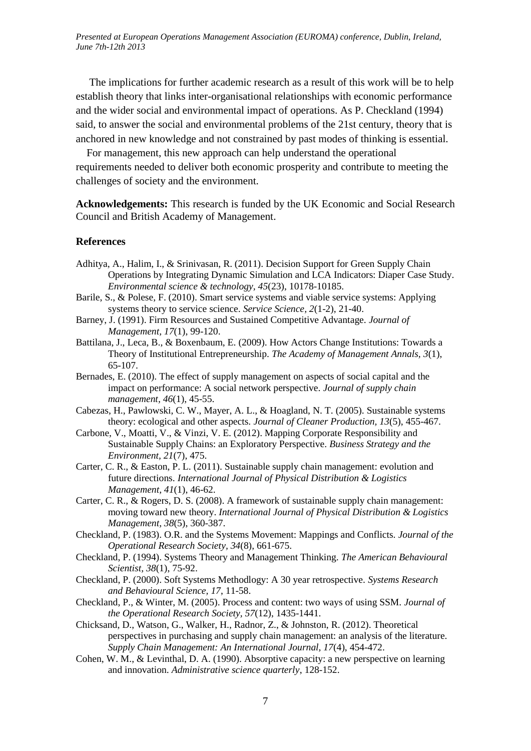<span id="page-6-11"></span> The implications for further academic research as a result of this work will be to help establish theory that links inter-organisational relationships with economic performance and the wider social and environmental impact of operations. As [P. Checkland \(1994\)](#page-6-4) said, to answer the social and environmental problems of the 21st century, theory that is anchored in new knowledge and not constrained by past modes of thinking is essential.

<span id="page-6-13"></span><span id="page-6-10"></span> For management, this new approach can help understand the operational requirements needed to deliver both economic prosperity and contribute to meeting the challenges of society and the environment.

<span id="page-6-9"></span><span id="page-6-8"></span>**Acknowledgements:** This research is funded by the UK Economic and Social Research Council and British Academy of Management.

#### <span id="page-6-17"></span>**References**

- <span id="page-6-12"></span><span id="page-6-0"></span>Adhitya, A., Halim, I., & Srinivasan, R. (2011). Decision Support for Green Supply Chain Operations by Integrating Dynamic Simulation and LCA Indicators: Diaper Case Study. *Environmental science & technology, 45*(23), 10178-10185.
- <span id="page-6-19"></span>Barile, S., & Polese, F. (2010). Smart service systems and viable service systems: Applying systems theory to service science. *Service Science, 2*(1-2), 21-40.
- <span id="page-6-14"></span>Barney, J. (1991). Firm Resources and Sustained Competitive Advantage. *Journal of Management, 17*(1), 99-120.
- <span id="page-6-16"></span><span id="page-6-15"></span>Battilana, J., Leca, B., & Boxenbaum, E. (2009). How Actors Change Institutions: Towards a Theory of Institutional Entrepreneurship. *The Academy of Management Annals, 3*(1), 65-107.
- Bernades, E. (2010). The effect of supply management on aspects of social capital and the impact on performance: A social network perspective. *Journal of supply chain management, 46*(1), 45-55.
- Cabezas, H., Pawlowski, C. W., Mayer, A. L., & Hoagland, N. T. (2005). Sustainable systems theory: ecological and other aspects. *Journal of Cleaner Production, 13*(5), 455-467.
- <span id="page-6-7"></span>Carbone, V., Moatti, V., & Vinzi, V. E. (2012). Mapping Corporate Responsibility and Sustainable Supply Chains: an Exploratory Perspective. *Business Strategy and the Environment, 21*(7), 475.
- <span id="page-6-1"></span>Carter, C. R., & Easton, P. L. (2011). Sustainable supply chain management: evolution and future directions. *International Journal of Physical Distribution & Logistics Management, 41*(1), 46-62.
- <span id="page-6-3"></span>Carter, C. R., & Rogers, D. S. (2008). A framework of sustainable supply chain management: moving toward new theory. *International Journal of Physical Distribution & Logistics Management, 38*(5), 360-387.
- <span id="page-6-6"></span>Checkland, P. (1983). O.R. and the Systems Movement: Mappings and Conflicts. *Journal of the Operational Research Society, 34*(8), 661-675.
- <span id="page-6-4"></span>Checkland, P. (1994). Systems Theory and Management Thinking. *The American Behavioural Scientist, 38*(1), 75-92.
- <span id="page-6-5"></span>Checkland, P. (2000). Soft Systems Methodlogy: A 30 year retrospective. *Systems Research and Behavioural Science, 17*, 11-58.
- <span id="page-6-18"></span>Checkland, P., & Winter, M. (2005). Process and content: two ways of using SSM. *Journal of the Operational Research Society, 57*(12), 1435-1441.
- <span id="page-6-2"></span>Chicksand, D., Watson, G., Walker, H., Radnor, Z., & Johnston, R. (2012). Theoretical perspectives in purchasing and supply chain management: an analysis of the literature. *Supply Chain Management: An International Journal, 17*(4), 454-472.
- Cohen, W. M., & Levinthal, D. A. (1990). Absorptive capacity: a new perspective on learning and innovation. *Administrative science quarterly*, 128-152.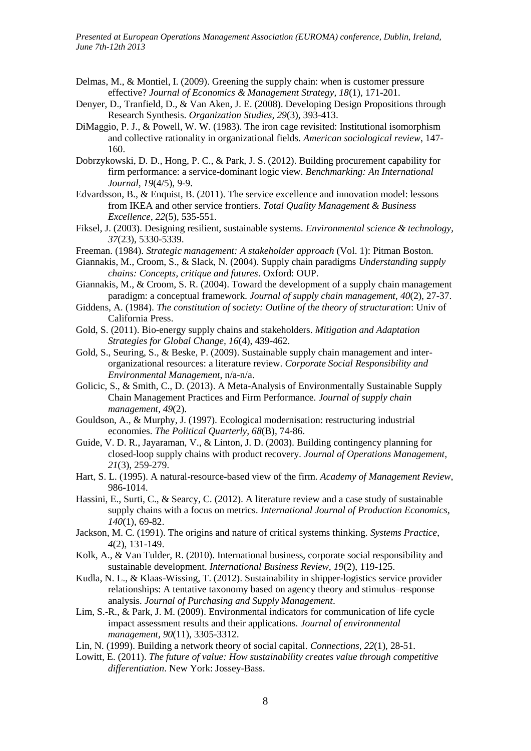- <span id="page-7-22"></span><span id="page-7-21"></span><span id="page-7-19"></span><span id="page-7-17"></span><span id="page-7-14"></span><span id="page-7-13"></span>Delmas, M., & Montiel, I. (2009). Greening the supply chain: when is customer pressure effective? *Journal of Economics & Management Strategy, 18*(1), 171-201.
- <span id="page-7-20"></span><span id="page-7-6"></span>Denyer, D., Tranfield, D., & Van Aken, J. E. (2008). Developing Design Propositions through Research Synthesis. *Organization Studies, 29*(3), 393-413.
- <span id="page-7-15"></span>DiMaggio, P. J., & Powell, W. W. (1983). The iron cage revisited: Institutional isomorphism and collective rationality in organizational fields. *American sociological review*, 147- 160.
- Dobrzykowski, D. D., Hong, P. C., & Park, J. S. (2012). Building procurement capability for firm performance: a service-dominant logic view. *Benchmarking: An International Journal, 19*(4/5), 9-9.
- <span id="page-7-24"></span><span id="page-7-12"></span>Edvardsson, B., & Enquist, B. (2011). The service excellence and innovation model: lessons from IKEA and other service frontiers. *Total Quality Management & Business Excellence, 22*(5), 535-551.
- <span id="page-7-11"></span>Fiksel, J. (2003). Designing resilient, sustainable systems. *Environmental science & technology, 37*(23), 5330-5339.
- <span id="page-7-16"></span>Freeman. (1984). *Strategic management: A stakeholder approach* (Vol. 1): Pitman Boston.
- <span id="page-7-4"></span>Giannakis, M., Croom, S., & Slack, N. (2004). Supply chain paradigms *Understanding supply chains: Concepts, critique and futures*. Oxford: OUP.
- <span id="page-7-3"></span>Giannakis, M., & Croom, S. R. (2004). Toward the development of a supply chain management paradigm: a conceptual framework. *Journal of supply chain management, 40*(2), 27-37.
- Giddens, A. (1984). *The constitution of society: Outline of the theory of structuration*: Univ of California Press.
- <span id="page-7-7"></span>Gold, S. (2011). Bio-energy supply chains and stakeholders. *Mitigation and Adaptation Strategies for Global Change, 16*(4), 439-462.
- <span id="page-7-8"></span><span id="page-7-5"></span>Gold, S., Seuring, S., & Beske, P. (2009). Sustainable supply chain management and interorganizational resources: a literature review. *Corporate Social Responsibility and Environmental Management*, n/a-n/a.
- <span id="page-7-10"></span><span id="page-7-0"></span>Golicic, S., & Smith, C., D. (2013). A Meta-Analysis of Environmentally Sustainable Supply Chain Management Practices and Firm Performance. *Journal of supply chain management, 49*(2).
- <span id="page-7-18"></span>Gouldson, A., & Murphy, J. (1997). Ecological modernisation: restructuring industrial economies. *The Political Quarterly, 68*(B), 74-86.
- <span id="page-7-9"></span>Guide, V. D. R., Jayaraman, V., & Linton, J. D. (2003). Building contingency planning for closed-loop supply chains with product recovery. *Journal of Operations Management, 21*(3), 259-279.
- Hart, S. L. (1995). A natural-resource-based view of the firm. *Academy of Management Review*, 986-1014.
- <span id="page-7-2"></span>Hassini, E., Surti, C., & Searcy, C. (2012). A literature review and a case study of sustainable supply chains with a focus on metrics. *International Journal of Production Economics, 140*(1), 69-82.
- <span id="page-7-23"></span>Jackson, M. C. (1991). The origins and nature of critical systems thinking. *Systems Practice, 4*(2), 131-149.
- Kolk, A., & Van Tulder, R. (2010). International business, corporate social responsibility and sustainable development. *International Business Review, 19*(2), 119-125.
- Kudla, N. L., & Klaas-Wissing, T. (2012). Sustainability in shipper-logistics service provider relationships: A tentative taxonomy based on agency theory and stimulus–response analysis. *Journal of Purchasing and Supply Management*.
- <span id="page-7-1"></span>Lim, S.-R., & Park, J. M. (2009). Environmental indicators for communication of life cycle impact assessment results and their applications. *Journal of environmental management, 90*(11), 3305-3312.
- Lin, N. (1999). Building a network theory of social capital. *Connections, 22*(1), 28-51.
- Lowitt, E. (2011). *The future of value: How sustainability creates value through competitive differentiation*. New York: Jossey-Bass.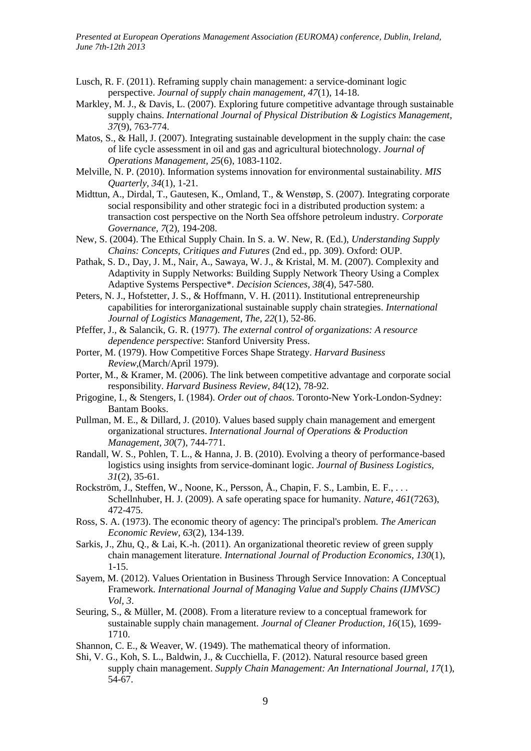- <span id="page-8-21"></span><span id="page-8-20"></span><span id="page-8-19"></span><span id="page-8-18"></span><span id="page-8-15"></span><span id="page-8-12"></span><span id="page-8-11"></span><span id="page-8-8"></span>Lusch, R. F. (2011). Reframing supply chain management: a service-dominant logic perspective. *Journal of supply chain management, 47*(1), 14-18.
- <span id="page-8-14"></span>Markley, M. J., & Davis, L. (2007). Exploring future competitive advantage through sustainable supply chains. *International Journal of Physical Distribution & Logistics Management, 37*(9), 763-774.
- <span id="page-8-6"></span>Matos, S., & Hall, J. (2007). Integrating sustainable development in the supply chain: the case of life cycle assessment in oil and gas and agricultural biotechnology. *Journal of Operations Management, 25*(6), 1083-1102.
- <span id="page-8-7"></span>Melville, N. P. (2010). Information systems innovation for environmental sustainability. *MIS Quarterly, 34*(1), 1-21.
- <span id="page-8-17"></span>Midttun, A., Dirdal, T., Gautesen, K., Omland, T., & Wenstøp, S. (2007). Integrating corporate social responsibility and other strategic foci in a distributed production system: a transaction cost perspective on the North Sea offshore petroleum industry. *Corporate Governance, 7*(2), 194-208.
- <span id="page-8-16"></span><span id="page-8-2"></span>New, S. (2004). The Ethical Supply Chain. In S. a. W. New, R. (Ed.), *Understanding Supply Chains: Concepts, Critiques and Futures* (2nd ed., pp. 309). Oxford: OUP.
- <span id="page-8-3"></span>Pathak, S. D., Day, J. M., Nair, A., Sawaya, W. J., & Kristal, M. M. (2007). Complexity and Adaptivity in Supply Networks: Building Supply Network Theory Using a Complex Adaptive Systems Perspective\*. *Decision Sciences, 38*(4), 547-580.
- <span id="page-8-5"></span>Peters, N. J., Hofstetter, J. S., & Hoffmann, V. H. (2011). Institutional entrepreneurship capabilities for interorganizational sustainable supply chain strategies. *International Journal of Logistics Management, The, 22*(1), 52-86.
- <span id="page-8-10"></span>Pfeffer, J., & Salancik, G. R. (1977). *The external control of organizations: A resource dependence perspective*: Stanford University Press.
- Porter, M. (1979). How Competitive Forces Shape Strategy. *Harvard Business Review,*(March/April 1979).
- <span id="page-8-0"></span>Porter, M., & Kramer, M. (2006). The link between competitive advantage and corporate social responsibility. *Harvard Business Review, 84*(12), 78-92.
- Prigogine, I., & Stengers, I. (1984). *Order out of chaos*. Toronto-New York-London-Sydney: Bantam Books.
- <span id="page-8-13"></span><span id="page-8-9"></span>Pullman, M. E., & Dillard, J. (2010). Values based supply chain management and emergent organizational structures. *International Journal of Operations & Production Management, 30*(7), 744-771.
- Randall, W. S., Pohlen, T. L., & Hanna, J. B. (2010). Evolving a theory of performance-based logistics using insights from service-dominant logic. *Journal of Business Logistics, 31*(2), 35-61.
- <span id="page-8-1"></span>Rockström, J., Steffen, W., Noone, K., Persson, Å., Chapin, F. S., Lambin, E. F., . . . Schellnhuber, H. J. (2009). A safe operating space for humanity. *Nature, 461*(7263), 472-475.
- Ross, S. A. (1973). The economic theory of agency: The principal's problem. *The American Economic Review, 63*(2), 134-139.
- Sarkis, J., Zhu, Q., & Lai, K.-h. (2011). An organizational theoretic review of green supply chain management literature. *International Journal of Production Economics, 130*(1), 1-15.
- <span id="page-8-22"></span>Sayem, M. (2012). Values Orientation in Business Through Service Innovation: A Conceptual Framework. *International Journal of Managing Value and Supply Chains (IJMVSC) Vol, 3*.
- <span id="page-8-4"></span>Seuring, S., & Müller, M. (2008). From a literature review to a conceptual framework for sustainable supply chain management. *Journal of Cleaner Production, 16*(15), 1699- 1710.
- Shannon, C. E., & Weaver, W. (1949). The mathematical theory of information.
- Shi, V. G., Koh, S. L., Baldwin, J., & Cucchiella, F. (2012). Natural resource based green supply chain management. *Supply Chain Management: An International Journal, 17*(1), 54-67.